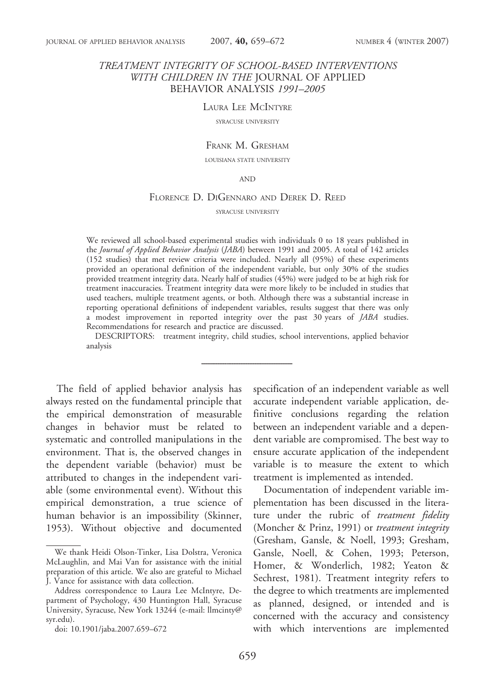## TREATMENT INTEGRITY OF SCHOOL-BASED INTERVENTIONS WITH CHILDREN IN THE JOURNAL OF APPLIED BEHAVIOR ANALYSIS 1991–2005

#### LAURA LEE MCINTYRE

SYRACUSE UNIVERSITY

#### FRANK M. GRESHAM

LOUISIANA STATE UNIVERSITY

#### AND

#### FLORENCE D. DIGENNARO AND DEREK D. REED

SYRACUSE UNIVERSITY

We reviewed all school-based experimental studies with individuals 0 to 18 years published in the Journal of Applied Behavior Analysis (JABA) between 1991 and 2005. A total of 142 articles (152 studies) that met review criteria were included. Nearly all (95%) of these experiments provided an operational definition of the independent variable, but only 30% of the studies provided treatment integrity data. Nearly half of studies (45%) were judged to be at high risk for treatment inaccuracies. Treatment integrity data were more likely to be included in studies that used teachers, multiple treatment agents, or both. Although there was a substantial increase in reporting operational definitions of independent variables, results suggest that there was only a modest improvement in reported integrity over the past 30 years of JABA studies. Recommendations for research and practice are discussed.

DESCRIPTORS: treatment integrity, child studies, school interventions, applied behavior analysis

The field of applied behavior analysis has always rested on the fundamental principle that the empirical demonstration of measurable changes in behavior must be related to systematic and controlled manipulations in the environment. That is, the observed changes in the dependent variable (behavior) must be attributed to changes in the independent variable (some environmental event). Without this empirical demonstration, a true science of human behavior is an impossibility (Skinner, 1953). Without objective and documented

specification of an independent variable as well accurate independent variable application, definitive conclusions regarding the relation between an independent variable and a dependent variable are compromised. The best way to ensure accurate application of the independent variable is to measure the extent to which treatment is implemented as intended.

Documentation of independent variable implementation has been discussed in the literature under the rubric of treatment fidelity (Moncher & Prinz, 1991) or treatment integrity (Gresham, Gansle, & Noell, 1993; Gresham, Gansle, Noell, & Cohen, 1993; Peterson, Homer, & Wonderlich, 1982; Yeaton & Sechrest, 1981). Treatment integrity refers to the degree to which treatments are implemented as planned, designed, or intended and is concerned with the accuracy and consistency with which interventions are implemented

We thank Heidi Olson-Tinker, Lisa Dolstra, Veronica McLaughlin, and Mai Van for assistance with the initial preparation of this article. We also are grateful to Michael J. Vance for assistance with data collection.

Address correspondence to Laura Lee McIntyre, Department of Psychology, 430 Huntington Hall, Syracuse University, Syracuse, New York 13244 (e-mail: llmcinty@ syr.edu).

doi: 10.1901/jaba.2007.659–672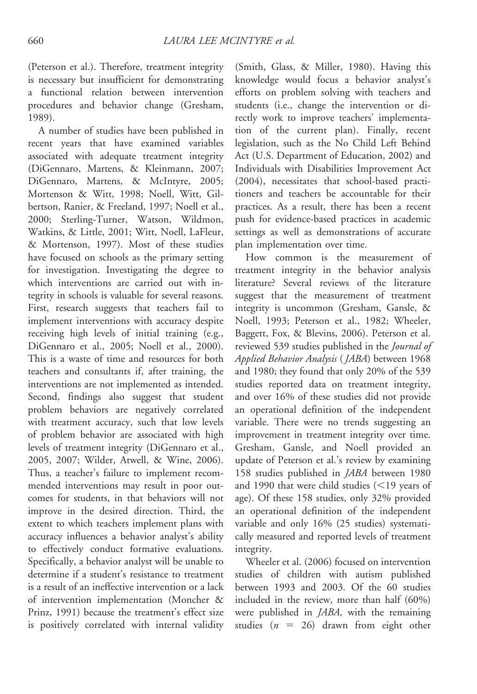# (Peterson et al.). Therefore, treatment integrity is necessary but insufficient for demonstrating a functional relation between intervention procedures and behavior change (Gresham, 1989).

A number of studies have been published in recent years that have examined variables associated with adequate treatment integrity (DiGennaro, Martens, & Kleinmann, 2007; DiGennaro, Martens, & McIntyre, 2005; Mortenson & Witt, 1998; Noell, Witt, Gilbertson, Ranier, & Freeland, 1997; Noell et al., 2000; Sterling-Turner, Watson, Wildmon, Watkins, & Little, 2001; Witt, Noell, LaFleur, & Mortenson, 1997). Most of these studies have focused on schools as the primary setting for investigation. Investigating the degree to which interventions are carried out with integrity in schools is valuable for several reasons. First, research suggests that teachers fail to implement interventions with accuracy despite receiving high levels of initial training (e.g., DiGennaro et al., 2005; Noell et al., 2000). This is a waste of time and resources for both teachers and consultants if, after training, the interventions are not implemented as intended. Second, findings also suggest that student problem behaviors are negatively correlated with treatment accuracy, such that low levels of problem behavior are associated with high levels of treatment integrity (DiGennaro et al., 2005, 2007; Wilder, Atwell, & Wine, 2006). Thus, a teacher's failure to implement recommended interventions may result in poor outcomes for students, in that behaviors will not improve in the desired direction. Third, the extent to which teachers implement plans with accuracy influences a behavior analyst's ability to effectively conduct formative evaluations. Specifically, a behavior analyst will be unable to determine if a student's resistance to treatment is a result of an ineffective intervention or a lack of intervention implementation (Moncher & Prinz, 1991) because the treatment's effect size is positively correlated with internal validity

(Smith, Glass, & Miller, 1980). Having this knowledge would focus a behavior analyst's efforts on problem solving with teachers and students (i.e., change the intervention or directly work to improve teachers' implementation of the current plan). Finally, recent legislation, such as the No Child Left Behind Act (U.S. Department of Education, 2002) and Individuals with Disabilities Improvement Act (2004), necessitates that school-based practitioners and teachers be accountable for their practices. As a result, there has been a recent push for evidence-based practices in academic settings as well as demonstrations of accurate plan implementation over time.

How common is the measurement of treatment integrity in the behavior analysis literature? Several reviews of the literature suggest that the measurement of treatment integrity is uncommon (Gresham, Gansle, & Noell, 1993; Peterson et al., 1982; Wheeler, Baggett, Fox, & Blevins, 2006). Peterson et al. reviewed 539 studies published in the *Journal of* Applied Behavior Analysis ( JABA) between 1968 and 1980; they found that only 20% of the 539 studies reported data on treatment integrity, and over 16% of these studies did not provide an operational definition of the independent variable. There were no trends suggesting an improvement in treatment integrity over time. Gresham, Gansle, and Noell provided an update of Peterson et al.'s review by examining 158 studies published in JABA between 1980 and 1990 that were child studies  $($  19 years) years of age). Of these 158 studies, only 32% provided an operational definition of the independent variable and only 16% (25 studies) systematically measured and reported levels of treatment integrity.

Wheeler et al. (2006) focused on intervention studies of children with autism published between 1993 and 2003. Of the 60 studies included in the review, more than half (60%) were published in *JABA*, with the remaining studies ( $n = 26$ ) drawn from eight other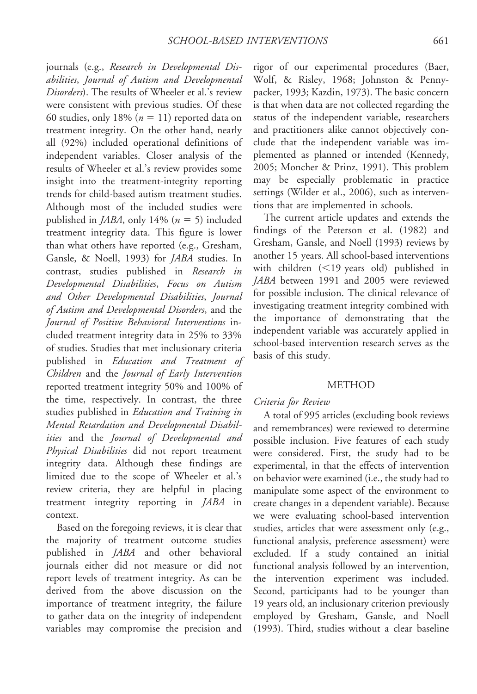journals (e.g., Research in Developmental Disabilities, Journal of Autism and Developmental Disorders). The results of Wheeler et al.'s review were consistent with previous studies. Of these 60 studies, only 18% ( $n = 11$ ) reported data on treatment integrity. On the other hand, nearly all (92%) included operational definitions of independent variables. Closer analysis of the results of Wheeler et al.'s review provides some insight into the treatment-integrity reporting trends for child-based autism treatment studies. Although most of the included studies were published in *JABA*, only 14% ( $n = 5$ ) included treatment integrity data. This figure is lower than what others have reported (e.g., Gresham, Gansle, & Noell, 1993) for JABA studies. In contrast, studies published in Research in Developmental Disabilities, Focus on Autism and Other Developmental Disabilities, Journal of Autism and Developmental Disorders, and the Journal of Positive Behavioral Interventions included treatment integrity data in 25% to 33% of studies. Studies that met inclusionary criteria published in Education and Treatment of Children and the Journal of Early Intervention reported treatment integrity 50% and 100% of the time, respectively. In contrast, the three studies published in Education and Training in Mental Retardation and Developmental Disabilities and the Journal of Developmental and Physical Disabilities did not report treatment integrity data. Although these findings are limited due to the scope of Wheeler et al.'s review criteria, they are helpful in placing treatment integrity reporting in JABA in context.

Based on the foregoing reviews, it is clear that the majority of treatment outcome studies published in JABA and other behavioral journals either did not measure or did not report levels of treatment integrity. As can be derived from the above discussion on the importance of treatment integrity, the failure to gather data on the integrity of independent variables may compromise the precision and

rigor of our experimental procedures (Baer, Wolf, & Risley, 1968; Johnston & Pennypacker, 1993; Kazdin, 1973). The basic concern is that when data are not collected regarding the status of the independent variable, researchers and practitioners alike cannot objectively conclude that the independent variable was implemented as planned or intended (Kennedy, 2005; Moncher & Prinz, 1991). This problem may be especially problematic in practice settings (Wilder et al., 2006), such as interventions that are implemented in schools.

The current article updates and extends the findings of the Peterson et al. (1982) and Gresham, Gansle, and Noell (1993) reviews by another 15 years. All school-based interventions with children  $(<19$  years old) published in JABA between 1991 and 2005 were reviewed for possible inclusion. The clinical relevance of investigating treatment integrity combined with the importance of demonstrating that the independent variable was accurately applied in school-based intervention research serves as the basis of this study.

#### **METHOD**

## Criteria for Review

A total of 995 articles (excluding book reviews and remembrances) were reviewed to determine possible inclusion. Five features of each study were considered. First, the study had to be experimental, in that the effects of intervention on behavior were examined (i.e., the study had to manipulate some aspect of the environment to create changes in a dependent variable). Because we were evaluating school-based intervention studies, articles that were assessment only (e.g., functional analysis, preference assessment) were excluded. If a study contained an initial functional analysis followed by an intervention, the intervention experiment was included. Second, participants had to be younger than 19 years old, an inclusionary criterion previously employed by Gresham, Gansle, and Noell (1993). Third, studies without a clear baseline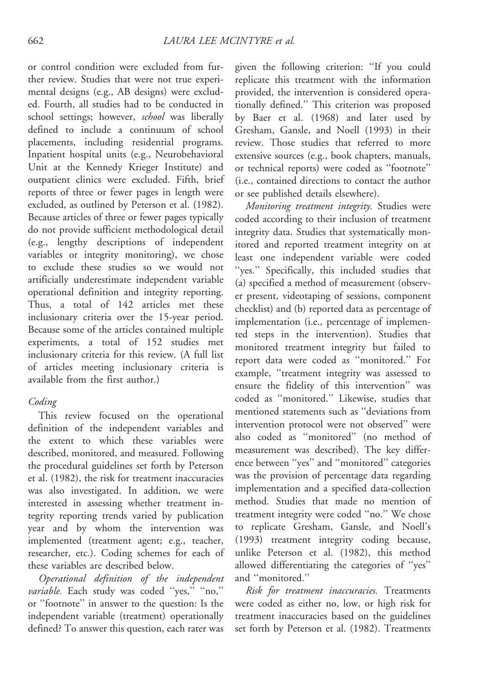or control condition were excluded from further review. Studies that were not true experimental designs (e.g., AB designs) were excluded. Fourth, all studies had to be conducted in school settings; however, school was liberally defined to include a continuum of school placements, including residential programs. Inpatient hospital units (e.g., Neurobehavioral Unit at the Kennedy Krieger Institute) and outpatient clinics were excluded. Fifth, brief reports of three or fewer pages in length were excluded, as outlined by Peterson et al. (1982). Because articles of three or fewer pages typically do not provide sufficient methodological detail (e.g., lengthy descriptions of independent variables or integrity monitoring), we chose to exclude these studies so we would not artificially underestimate independent variable operational definition and integrity reporting. Thus, a total of 142 articles met these inclusionary criteria over the 15-year period. Because some of the articles contained multiple experiments, a total of 152 studies met inclusionary criteria for this review. (A full list of articles meeting inclusionary criteria is available from the first author.)

## Coding

This review focused on the operational definition of the independent variables and the extent to which these variables were described, monitored, and measured. Following the procedural guidelines set forth by Peterson et al. (1982), the risk for treatment inaccuracies was also investigated. In addition, we were interested in assessing whether treatment integrity reporting trends varied by publication year and by whom the intervention was implemented (treatment agent; e.g., teacher, researcher, etc.). Coding schemes for each of these variables are described below.

Operational definition of the independent variable. Each study was coded "yes," "no," or ''footnote'' in answer to the question: Is the independent variable (treatment) operationally defined? To answer this question, each rater was

given the following criterion: ''If you could replicate this treatment with the information provided, the intervention is considered operationally defined.'' This criterion was proposed by Baer et al. (1968) and later used by Gresham, Gansle, and Noell (1993) in their review. Those studies that referred to more extensive sources (e.g., book chapters, manuals, or technical reports) were coded as ''footnote'' (i.e., contained directions to contact the author or see published details elsewhere).

Monitoring treatment integrity. Studies were coded according to their inclusion of treatment integrity data. Studies that systematically monitored and reported treatment integrity on at least one independent variable were coded "yes." Specifically, this included studies that (a) specified a method of measurement (observer present, videotaping of sessions, component checklist) and (b) reported data as percentage of implementation (i.e., percentage of implemented steps in the intervention). Studies that monitored treatment integrity but failed to report data were coded as ''monitored.'' For example, ''treatment integrity was assessed to ensure the fidelity of this intervention'' was coded as ''monitored.'' Likewise, studies that mentioned statements such as ''deviations from intervention protocol were not observed'' were also coded as ''monitored'' (no method of measurement was described). The key difference between ''yes'' and ''monitored'' categories was the provision of percentage data regarding implementation and a specified data-collection method. Studies that made no mention of treatment integrity were coded ''no.'' We chose to replicate Gresham, Gansle, and Noell's (1993) treatment integrity coding because, unlike Peterson et al. (1982), this method allowed differentiating the categories of ''yes'' and ''monitored.''

Risk for treatment inaccuracies. Treatments were coded as either no, low, or high risk for treatment inaccuracies based on the guidelines set forth by Peterson et al. (1982). Treatments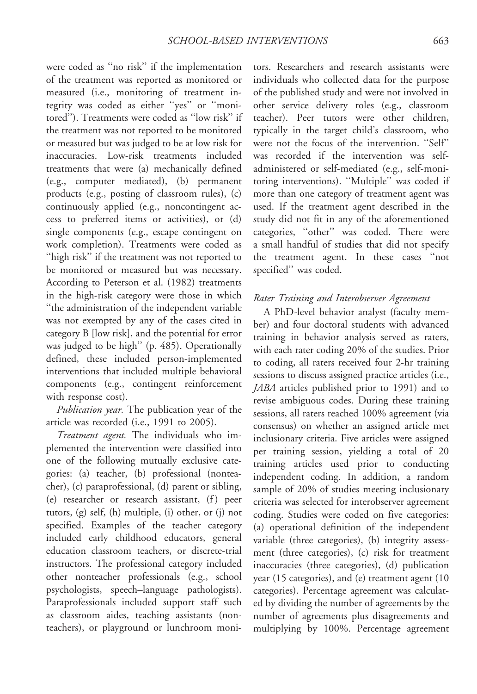were coded as ''no risk'' if the implementation of the treatment was reported as monitored or measured (i.e., monitoring of treatment integrity was coded as either ''yes'' or ''monitored''). Treatments were coded as ''low risk'' if the treatment was not reported to be monitored or measured but was judged to be at low risk for inaccuracies. Low-risk treatments included treatments that were (a) mechanically defined (e.g., computer mediated), (b) permanent products (e.g., posting of classroom rules), (c) continuously applied (e.g., noncontingent access to preferred items or activities), or (d) single components (e.g., escape contingent on work completion). Treatments were coded as "high risk" if the treatment was not reported to be monitored or measured but was necessary. According to Peterson et al. (1982) treatments in the high-risk category were those in which ''the administration of the independent variable was not exempted by any of the cases cited in category B [low risk], and the potential for error was judged to be high'' (p. 485). Operationally defined, these included person-implemented interventions that included multiple behavioral components (e.g., contingent reinforcement with response cost).

Publication year. The publication year of the article was recorded (i.e., 1991 to 2005).

Treatment agent. The individuals who implemented the intervention were classified into one of the following mutually exclusive categories: (a) teacher, (b) professional (nonteacher), (c) paraprofessional, (d) parent or sibling, (e) researcher or research assistant, (f) peer tutors, (g) self, (h) multiple, (i) other, or (j) not specified. Examples of the teacher category included early childhood educators, general education classroom teachers, or discrete-trial instructors. The professional category included other nonteacher professionals (e.g., school psychologists, speech–language pathologists). Paraprofessionals included support staff such as classroom aides, teaching assistants (nonteachers), or playground or lunchroom moni-

tors. Researchers and research assistants were individuals who collected data for the purpose of the published study and were not involved in other service delivery roles (e.g., classroom teacher). Peer tutors were other children, typically in the target child's classroom, who were not the focus of the intervention. ''Self'' was recorded if the intervention was selfadministered or self-mediated (e.g., self-monitoring interventions). ''Multiple'' was coded if more than one category of treatment agent was used. If the treatment agent described in the study did not fit in any of the aforementioned categories, ''other'' was coded. There were a small handful of studies that did not specify the treatment agent. In these cases ''not specified'' was coded.

## Rater Training and Interobserver Agreement

A PhD-level behavior analyst (faculty member) and four doctoral students with advanced training in behavior analysis served as raters, with each rater coding 20% of the studies. Prior to coding, all raters received four 2-hr training sessions to discuss assigned practice articles (i.e., JABA articles published prior to 1991) and to revise ambiguous codes. During these training sessions, all raters reached 100% agreement (via consensus) on whether an assigned article met inclusionary criteria. Five articles were assigned per training session, yielding a total of 20 training articles used prior to conducting independent coding. In addition, a random sample of 20% of studies meeting inclusionary criteria was selected for interobserver agreement coding. Studies were coded on five categories: (a) operational definition of the independent variable (three categories), (b) integrity assessment (three categories), (c) risk for treatment inaccuracies (three categories), (d) publication year (15 categories), and (e) treatment agent (10 categories). Percentage agreement was calculated by dividing the number of agreements by the number of agreements plus disagreements and multiplying by 100%. Percentage agreement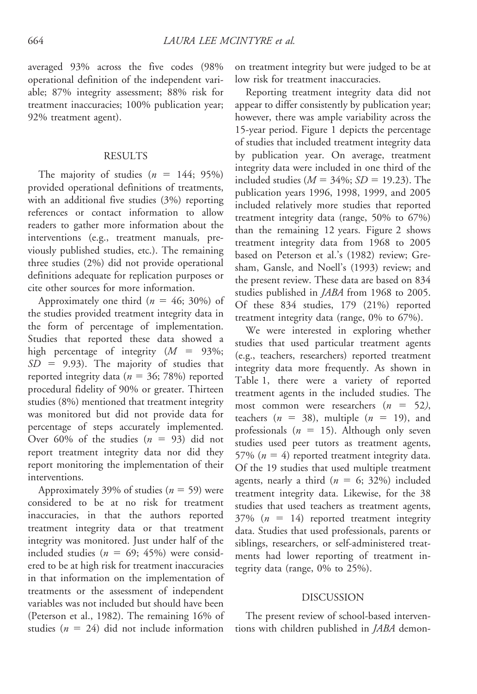averaged 93% across the five codes (98% operational definition of the independent variable; 87% integrity assessment; 88% risk for treatment inaccuracies; 100% publication year; 92% treatment agent).

### RESULTS

The majority of studies  $(n = 144; 95%)$ provided operational definitions of treatments, with an additional five studies (3%) reporting references or contact information to allow readers to gather more information about the interventions (e.g., treatment manuals, previously published studies, etc.). The remaining three studies (2%) did not provide operational definitions adequate for replication purposes or cite other sources for more information.

Approximately one third  $(n = 46; 30\%)$  of the studies provided treatment integrity data in the form of percentage of implementation. Studies that reported these data showed a high percentage of integrity  $(M = 93\%;$  $SD = 9.93$ ). The majority of studies that reported integrity data ( $n = 36$ ; 78%) reported procedural fidelity of 90% or greater. Thirteen studies (8%) mentioned that treatment integrity was monitored but did not provide data for percentage of steps accurately implemented. Over 60% of the studies  $(n = 93)$  did not report treatment integrity data nor did they report monitoring the implementation of their interventions.

Approximately 39% of studies ( $n = 59$ ) were considered to be at no risk for treatment inaccuracies, in that the authors reported treatment integrity data or that treatment integrity was monitored. Just under half of the included studies ( $n = 69$ ; 45%) were considered to be at high risk for treatment inaccuracies in that information on the implementation of treatments or the assessment of independent variables was not included but should have been (Peterson et al., 1982). The remaining 16% of studies ( $n = 24$ ) did not include information

on treatment integrity but were judged to be at low risk for treatment inaccuracies.

Reporting treatment integrity data did not appear to differ consistently by publication year; however, there was ample variability across the 15-year period. Figure 1 depicts the percentage of studies that included treatment integrity data by publication year. On average, treatment integrity data were included in one third of the included studies ( $M = 34\%$ ;  $SD = 19.23$ ). The publication years 1996, 1998, 1999, and 2005 included relatively more studies that reported treatment integrity data (range, 50% to 67%) than the remaining 12 years. Figure 2 shows treatment integrity data from 1968 to 2005 based on Peterson et al.'s (1982) review; Gresham, Gansle, and Noell's (1993) review; and the present review. These data are based on 834 studies published in *JABA* from 1968 to 2005. Of these 834 studies, 179 (21%) reported treatment integrity data (range, 0% to 67%).

We were interested in exploring whether studies that used particular treatment agents (e.g., teachers, researchers) reported treatment integrity data more frequently. As shown in Table 1, there were a variety of reported treatment agents in the included studies. The most common were researchers  $(n = 52)$ , teachers ( $n = 38$ ), multiple ( $n = 19$ ), and professionals ( $n = 15$ ). Although only seven studies used peer tutors as treatment agents, 57% ( $n = 4$ ) reported treatment integrity data. Of the 19 studies that used multiple treatment agents, nearly a third ( $n = 6$ ; 32%) included treatment integrity data. Likewise, for the 38 studies that used teachers as treatment agents,  $37\%$  ( $n = 14$ ) reported treatment integrity data. Studies that used professionals, parents or siblings, researchers, or self-administered treatments had lower reporting of treatment integrity data (range, 0% to 25%).

### DISCUSSION

The present review of school-based interventions with children published in JABA demon-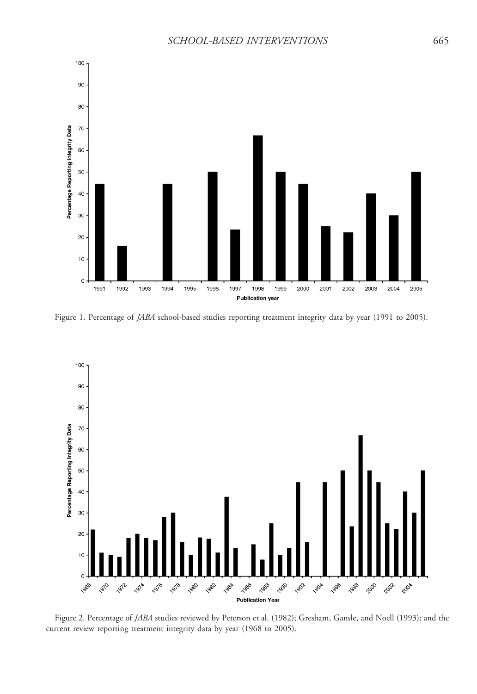

Figure 1. Percentage of JABA school-based studies reporting treatment integrity data by year (1991 to 2005).



current review reporting treatment integrity data by year (1968 to 2005).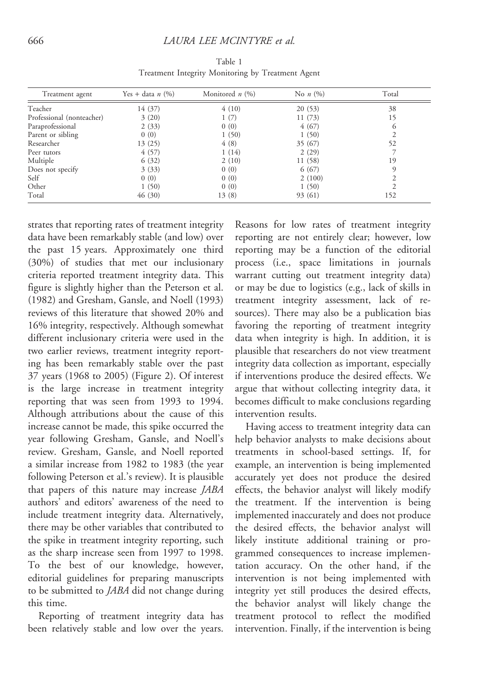| Treatment agent           | Yes + data <i>n</i> $(\%)$ | Monitored $n$ (%) | No $n(%)$ | Total    |
|---------------------------|----------------------------|-------------------|-----------|----------|
| Teacher                   | 14 (37)                    | 4(10)             | 20(53)    | 38       |
| Professional (nonteacher) | 3(20)                      | 1(7)              | 11(73)    | 15       |
| Paraprofessional          | 2(33)                      | 0(0)              | 4(67)     | $\sigma$ |
| Parent or sibling         | 0(0)                       | 1(50)             | 1(50)     |          |
| Researcher                | 13 (25)                    | 4(8)              | 35 (67)   | 52       |
| Peer tutors               | 4(57)                      | 1(14)             | 2(29)     |          |
| Multiple                  | 6(32)                      | 2(10)             | 11 (58)   | 19       |
| Does not specify          | 3(33)                      | 0(0)              | 6(67)     | $\Omega$ |
| Self                      | 0(0)                       | 0(0)              | 2(100)    |          |
| Other                     | 1(50)                      | 0(0)              | 1(50)     |          |
| Total                     | 46(30)                     | 13(8)             | 93 (61)   | 152      |

Table 1 Treatment Integrity Monitoring by Treatment Agent

strates that reporting rates of treatment integrity data have been remarkably stable (and low) over the past 15 years. Approximately one third (30%) of studies that met our inclusionary criteria reported treatment integrity data. This figure is slightly higher than the Peterson et al. (1982) and Gresham, Gansle, and Noell (1993) reviews of this literature that showed 20% and 16% integrity, respectively. Although somewhat different inclusionary criteria were used in the two earlier reviews, treatment integrity reporting has been remarkably stable over the past 37 years (1968 to 2005) (Figure 2). Of interest is the large increase in treatment integrity reporting that was seen from 1993 to 1994. Although attributions about the cause of this increase cannot be made, this spike occurred the year following Gresham, Gansle, and Noell's review. Gresham, Gansle, and Noell reported a similar increase from 1982 to 1983 (the year following Peterson et al.'s review). It is plausible that papers of this nature may increase JABA authors' and editors' awareness of the need to include treatment integrity data. Alternatively, there may be other variables that contributed to the spike in treatment integrity reporting, such as the sharp increase seen from 1997 to 1998. To the best of our knowledge, however, editorial guidelines for preparing manuscripts to be submitted to JABA did not change during this time.

Reporting of treatment integrity data has been relatively stable and low over the years.

Reasons for low rates of treatment integrity reporting are not entirely clear; however, low reporting may be a function of the editorial process (i.e., space limitations in journals warrant cutting out treatment integrity data) or may be due to logistics (e.g., lack of skills in treatment integrity assessment, lack of resources). There may also be a publication bias favoring the reporting of treatment integrity data when integrity is high. In addition, it is plausible that researchers do not view treatment integrity data collection as important, especially if interventions produce the desired effects. We argue that without collecting integrity data, it becomes difficult to make conclusions regarding intervention results.

Having access to treatment integrity data can help behavior analysts to make decisions about treatments in school-based settings. If, for example, an intervention is being implemented accurately yet does not produce the desired effects, the behavior analyst will likely modify the treatment. If the intervention is being implemented inaccurately and does not produce the desired effects, the behavior analyst will likely institute additional training or programmed consequences to increase implementation accuracy. On the other hand, if the intervention is not being implemented with integrity yet still produces the desired effects, the behavior analyst will likely change the treatment protocol to reflect the modified intervention. Finally, if the intervention is being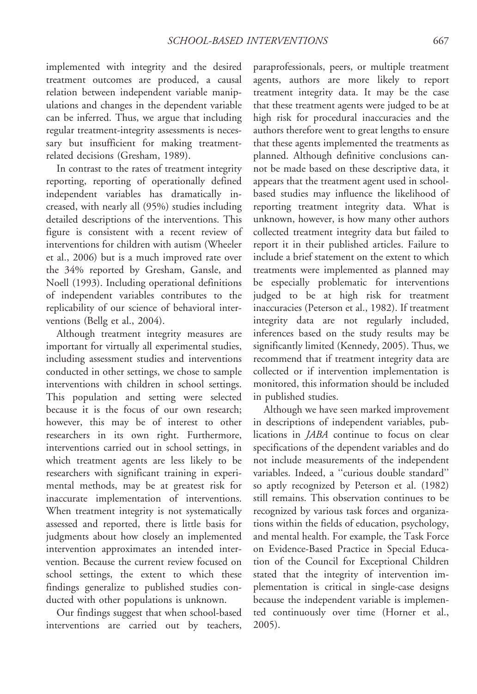implemented with integrity and the desired treatment outcomes are produced, a causal relation between independent variable manipulations and changes in the dependent variable can be inferred. Thus, we argue that including regular treatment-integrity assessments is necessary but insufficient for making treatmentrelated decisions (Gresham, 1989).

In contrast to the rates of treatment integrity reporting, reporting of operationally defined independent variables has dramatically increased, with nearly all (95%) studies including detailed descriptions of the interventions. This figure is consistent with a recent review of interventions for children with autism (Wheeler et al., 2006) but is a much improved rate over the 34% reported by Gresham, Gansle, and Noell (1993). Including operational definitions of independent variables contributes to the replicability of our science of behavioral interventions (Bellg et al., 2004).

Although treatment integrity measures are important for virtually all experimental studies, including assessment studies and interventions conducted in other settings, we chose to sample interventions with children in school settings. This population and setting were selected because it is the focus of our own research; however, this may be of interest to other researchers in its own right. Furthermore, interventions carried out in school settings, in which treatment agents are less likely to be researchers with significant training in experimental methods, may be at greatest risk for inaccurate implementation of interventions. When treatment integrity is not systematically assessed and reported, there is little basis for judgments about how closely an implemented intervention approximates an intended intervention. Because the current review focused on school settings, the extent to which these findings generalize to published studies conducted with other populations is unknown.

Our findings suggest that when school-based interventions are carried out by teachers,

paraprofessionals, peers, or multiple treatment agents, authors are more likely to report treatment integrity data. It may be the case that these treatment agents were judged to be at high risk for procedural inaccuracies and the authors therefore went to great lengths to ensure that these agents implemented the treatments as planned. Although definitive conclusions cannot be made based on these descriptive data, it appears that the treatment agent used in schoolbased studies may influence the likelihood of reporting treatment integrity data. What is unknown, however, is how many other authors collected treatment integrity data but failed to report it in their published articles. Failure to include a brief statement on the extent to which treatments were implemented as planned may be especially problematic for interventions judged to be at high risk for treatment inaccuracies (Peterson et al., 1982). If treatment integrity data are not regularly included, inferences based on the study results may be significantly limited (Kennedy, 2005). Thus, we recommend that if treatment integrity data are collected or if intervention implementation is monitored, this information should be included in published studies.

Although we have seen marked improvement in descriptions of independent variables, publications in JABA continue to focus on clear specifications of the dependent variables and do not include measurements of the independent variables. Indeed, a ''curious double standard'' so aptly recognized by Peterson et al. (1982) still remains. This observation continues to be recognized by various task forces and organizations within the fields of education, psychology, and mental health. For example, the Task Force on Evidence-Based Practice in Special Education of the Council for Exceptional Children stated that the integrity of intervention implementation is critical in single-case designs because the independent variable is implemented continuously over time (Horner et al., 2005).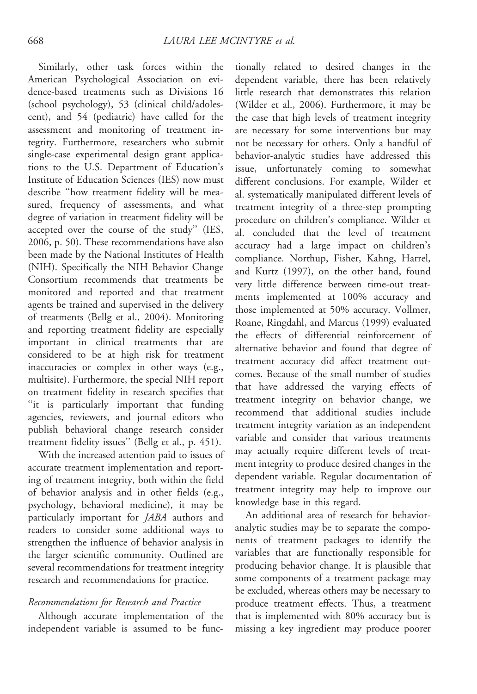Similarly, other task forces within the American Psychological Association on evidence-based treatments such as Divisions 16 (school psychology), 53 (clinical child/adolescent), and 54 (pediatric) have called for the assessment and monitoring of treatment integrity. Furthermore, researchers who submit single-case experimental design grant applications to the U.S. Department of Education's Institute of Education Sciences (IES) now must describe ''how treatment fidelity will be measured, frequency of assessments, and what degree of variation in treatment fidelity will be accepted over the course of the study'' (IES, 2006, p. 50). These recommendations have also been made by the National Institutes of Health (NIH). Specifically the NIH Behavior Change Consortium recommends that treatments be monitored and reported and that treatment agents be trained and supervised in the delivery of treatments (Bellg et al., 2004). Monitoring and reporting treatment fidelity are especially important in clinical treatments that are considered to be at high risk for treatment inaccuracies or complex in other ways (e.g., multisite). Furthermore, the special NIH report on treatment fidelity in research specifies that ''it is particularly important that funding agencies, reviewers, and journal editors who publish behavioral change research consider treatment fidelity issues'' (Bellg et al., p. 451).

With the increased attention paid to issues of accurate treatment implementation and reporting of treatment integrity, both within the field of behavior analysis and in other fields (e.g., psychology, behavioral medicine), it may be particularly important for JABA authors and readers to consider some additional ways to strengthen the influence of behavior analysis in the larger scientific community. Outlined are several recommendations for treatment integrity research and recommendations for practice.

### Recommendations for Research and Practice

Although accurate implementation of the independent variable is assumed to be func-

tionally related to desired changes in the dependent variable, there has been relatively little research that demonstrates this relation (Wilder et al., 2006). Furthermore, it may be the case that high levels of treatment integrity are necessary for some interventions but may not be necessary for others. Only a handful of behavior-analytic studies have addressed this issue, unfortunately coming to somewhat different conclusions. For example, Wilder et al. systematically manipulated different levels of treatment integrity of a three-step prompting procedure on children's compliance. Wilder et al. concluded that the level of treatment accuracy had a large impact on children's compliance. Northup, Fisher, Kahng, Harrel, and Kurtz (1997), on the other hand, found very little difference between time-out treatments implemented at 100% accuracy and those implemented at 50% accuracy. Vollmer, Roane, Ringdahl, and Marcus (1999) evaluated the effects of differential reinforcement of alternative behavior and found that degree of treatment accuracy did affect treatment outcomes. Because of the small number of studies that have addressed the varying effects of treatment integrity on behavior change, we recommend that additional studies include treatment integrity variation as an independent variable and consider that various treatments may actually require different levels of treatment integrity to produce desired changes in the dependent variable. Regular documentation of treatment integrity may help to improve our knowledge base in this regard.

An additional area of research for behavioranalytic studies may be to separate the components of treatment packages to identify the variables that are functionally responsible for producing behavior change. It is plausible that some components of a treatment package may be excluded, whereas others may be necessary to produce treatment effects. Thus, a treatment that is implemented with 80% accuracy but is missing a key ingredient may produce poorer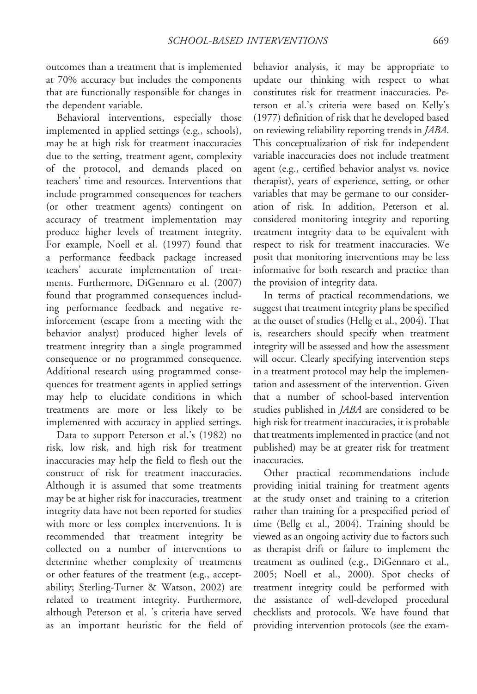outcomes than a treatment that is implemented at 70% accuracy but includes the components that are functionally responsible for changes in the dependent variable.

Behavioral interventions, especially those implemented in applied settings (e.g., schools), may be at high risk for treatment inaccuracies due to the setting, treatment agent, complexity of the protocol, and demands placed on teachers' time and resources. Interventions that include programmed consequences for teachers (or other treatment agents) contingent on accuracy of treatment implementation may produce higher levels of treatment integrity. For example, Noell et al. (1997) found that a performance feedback package increased teachers' accurate implementation of treatments. Furthermore, DiGennaro et al. (2007) found that programmed consequences including performance feedback and negative reinforcement (escape from a meeting with the behavior analyst) produced higher levels of treatment integrity than a single programmed consequence or no programmed consequence. Additional research using programmed consequences for treatment agents in applied settings may help to elucidate conditions in which treatments are more or less likely to be implemented with accuracy in applied settings.

Data to support Peterson et al.'s (1982) no risk, low risk, and high risk for treatment inaccuracies may help the field to flesh out the construct of risk for treatment inaccuracies. Although it is assumed that some treatments may be at higher risk for inaccuracies, treatment integrity data have not been reported for studies with more or less complex interventions. It is recommended that treatment integrity be collected on a number of interventions to determine whether complexity of treatments or other features of the treatment (e.g., acceptability; Sterling-Turner & Watson, 2002) are related to treatment integrity. Furthermore, although Peterson et al. 's criteria have served as an important heuristic for the field of behavior analysis, it may be appropriate to update our thinking with respect to what constitutes risk for treatment inaccuracies. Peterson et al.'s criteria were based on Kelly's (1977) definition of risk that he developed based on reviewing reliability reporting trends in JABA. This conceptualization of risk for independent variable inaccuracies does not include treatment agent (e.g., certified behavior analyst vs. novice therapist), years of experience, setting, or other variables that may be germane to our consideration of risk. In addition, Peterson et al. considered monitoring integrity and reporting treatment integrity data to be equivalent with respect to risk for treatment inaccuracies. We posit that monitoring interventions may be less informative for both research and practice than the provision of integrity data.

In terms of practical recommendations, we suggest that treatment integrity plans be specified at the outset of studies (Hellg et al., 2004). That is, researchers should specify when treatment integrity will be assessed and how the assessment will occur. Clearly specifying intervention steps in a treatment protocol may help the implementation and assessment of the intervention. Given that a number of school-based intervention studies published in JABA are considered to be high risk for treatment inaccuracies, it is probable that treatments implemented in practice (and not published) may be at greater risk for treatment inaccuracies.

Other practical recommendations include providing initial training for treatment agents at the study onset and training to a criterion rather than training for a prespecified period of time (Bellg et al., 2004). Training should be viewed as an ongoing activity due to factors such as therapist drift or failure to implement the treatment as outlined (e.g., DiGennaro et al., 2005; Noell et al., 2000). Spot checks of treatment integrity could be performed with the assistance of well-developed procedural checklists and protocols. We have found that providing intervention protocols (see the exam-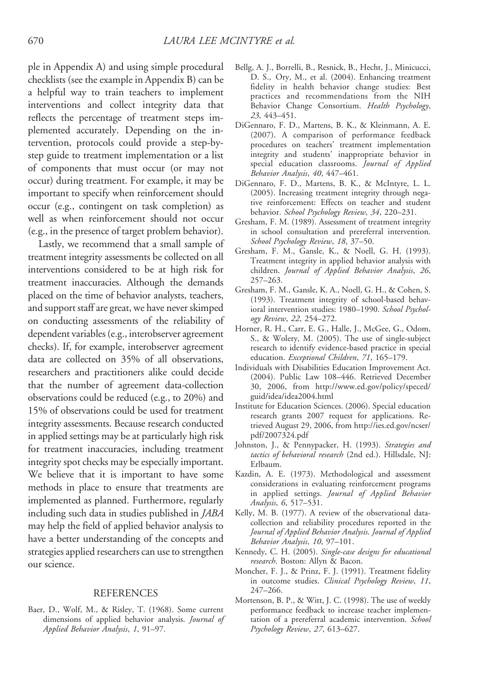ple in Appendix A) and using simple procedural checklists (see the example in Appendix B) can be a helpful way to train teachers to implement interventions and collect integrity data that reflects the percentage of treatment steps implemented accurately. Depending on the intervention, protocols could provide a step-bystep guide to treatment implementation or a list of components that must occur (or may not occur) during treatment. For example, it may be important to specify when reinforcement should occur (e.g., contingent on task completion) as well as when reinforcement should not occur (e.g., in the presence of target problem behavior).

Lastly, we recommend that a small sample of treatment integrity assessments be collected on all interventions considered to be at high risk for treatment inaccuracies. Although the demands placed on the time of behavior analysts, teachers, and support staff are great, we have never skimped on conducting assessments of the reliability of dependent variables (e.g., interobserver agreement checks). If, for example, interobserver agreement data are collected on 35% of all observations, researchers and practitioners alike could decide that the number of agreement data-collection observations could be reduced (e.g., to 20%) and 15% of observations could be used for treatment integrity assessments. Because research conducted in applied settings may be at particularly high risk for treatment inaccuracies, including treatment integrity spot checks may be especially important. We believe that it is important to have some methods in place to ensure that treatments are implemented as planned. Furthermore, regularly including such data in studies published in JABA may help the field of applied behavior analysis to have a better understanding of the concepts and strategies applied researchers can use to strengthen our science.

### **REFERENCES**

Baer, D., Wolf, M., & Risley, T. (1968). Some current dimensions of applied behavior analysis. Journal of Applied Behavior Analysis, 1, 91–97.

- Bellg, A. J., Borrelli, B., Resnick, B., Hecht, J., Minicucci, D. S., Ory, M., et al. (2004). Enhancing treatment fidelity in health behavior change studies: Best practices and recommendations from the NIH Behavior Change Consortium. Health Psychology, 23, 443–451.
- DiGennaro, F. D., Martens, B. K., & Kleinmann, A. E. (2007). A comparison of performance feedback procedures on teachers' treatment implementation integrity and students' inappropriate behavior in special education classrooms. Journal of Applied Behavior Analysis, 40, 447–461.
- DiGennaro, F. D., Martens, B. K., & McIntyre, L. L. (2005). Increasing treatment integrity through negative reinforcement: Effects on teacher and student behavior. School Psychology Review, 34, 220–231.
- Gresham, F. M. (1989). Assessment of treatment integrity in school consultation and prereferral intervention. School Psychology Review, 18, 37–50.
- Gresham, F. M., Gansle, K., & Noell, G. H. (1993). Treatment integrity in applied behavior analysis with children. Journal of Applied Behavior Analysis, 26, 257–263.
- Gresham, F. M., Gansle, K. A., Noell, G. H., & Cohen, S. (1993). Treatment integrity of school-based behavioral intervention studies: 1980–1990. School Psychology Review, 22, 254–272.
- Horner, R. H., Carr, E. G., Halle, J., McGee, G., Odom, S., & Wolery, M. (2005). The use of single-subject research to identify evidence-based practice in special education. Exceptional Children, 71, 165-179.
- Individuals with Disabilities Education Improvement Act. (2004). Public Law 108–446. Retrieved December 30, 2006, from http://www.ed.gov/policy/speced/ guid/idea/idea2004.html
- Institute for Education Sciences. (2006). Special education research grants 2007 request for applications. Retrieved August 29, 2006, from http://ies.ed.gov/ncser/ pdf/2007324.pdf
- Johnston, J., & Pennypacker, H. (1993). Strategies and tactics of behavioral research (2nd ed.). Hillsdale, NJ: Erlbaum.
- Kazdin, A. E. (1973). Methodological and assessment considerations in evaluating reinforcement programs in applied settings. Journal of Applied Behavior Analysis, 6, 517–531.
- Kelly, M. B. (1977). A review of the observational datacollection and reliability procedures reported in the Journal of Applied Behavior Analysis. Journal of Applied Behavior Analysis, 10, 97–101.
- Kennedy, C. H. (2005). Single-case designs for educational research. Boston: Allyn & Bacon.
- Moncher, F. J., & Prinz, F. J. (1991). Treatment fidelity in outcome studies. Clinical Psychology Review, 11, 247–266.
- Mortenson, B. P., & Witt, J. C. (1998). The use of weekly performance feedback to increase teacher implementation of a prereferral academic intervention. School Psychology Review, 27, 613–627.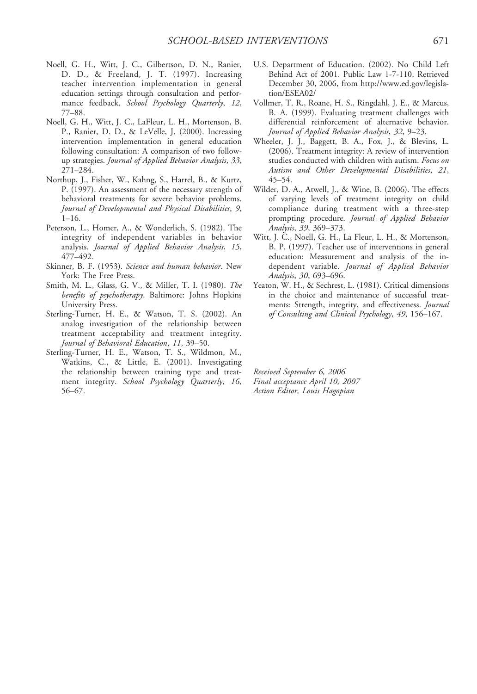- Noell, G. H., Witt, J. C., Gilbertson, D. N., Ranier, D. D., & Freeland, J. T. (1997). Increasing teacher intervention implementation in general education settings through consultation and performance feedback. School Psychology Quarterly, 12, 77–88.
- Noell, G. H., Witt, J. C., LaFleur, L. H., Mortenson, B. P., Ranier, D. D., & LeVelle, J. (2000). Increasing intervention implementation in general education following consultation: A comparison of two followup strategies. Journal of Applied Behavior Analysis, 33, 271–284.
- Northup, J., Fisher, W., Kahng, S., Harrel, B., & Kurtz, P. (1997). An assessment of the necessary strength of behavioral treatments for severe behavior problems. Journal of Developmental and Physical Disabilities, 9, 1–16.
- Peterson, L., Homer, A., & Wonderlich, S. (1982). The integrity of independent variables in behavior analysis. Journal of Applied Behavior Analysis, 15, 477–492.
- Skinner, B. F. (1953). Science and human behavior. New York: The Free Press.
- Smith, M. L., Glass, G. V., & Miller, T. I. (1980). The benefits of psychotherapy. Baltimore: Johns Hopkins University Press.
- Sterling-Turner, H. E., & Watson, T. S. (2002). An analog investigation of the relationship between treatment acceptability and treatment integrity. Journal of Behavioral Education, 11, 39–50.
- Sterling-Turner, H. E., Watson, T. S., Wildmon, M., Watkins, C., & Little, E. (2001). Investigating the relationship between training type and treatment integrity. School Psychology Quarterly, 16, 56–67.
- U.S. Department of Education. (2002). No Child Left Behind Act of 2001. Public Law 1-7-110. Retrieved December 30, 2006, from http://www.ed.gov/legislation/ESEA02/
- Vollmer, T. R., Roane, H. S., Ringdahl, J. E., & Marcus, B. A. (1999). Evaluating treatment challenges with differential reinforcement of alternative behavior. Journal of Applied Behavior Analysis, 32, 9–23.
- Wheeler, J. J., Baggett, B. A., Fox, J., & Blevins, L. (2006). Treatment integrity: A review of intervention studies conducted with children with autism. Focus on Autism and Other Developmental Disabilities, 21, 45–54.
- Wilder, D. A., Atwell, J., & Wine, B. (2006). The effects of varying levels of treatment integrity on child compliance during treatment with a three-step prompting procedure. Journal of Applied Behavior Analysis, 39, 369–373.
- Witt, J. C., Noell, G. H., La Fleur, L. H., & Mortenson, B. P. (1997). Teacher use of interventions in general education: Measurement and analysis of the independent variable. Journal of Applied Behavior Analysis, 30, 693–696.
- Yeaton, W. H., & Sechrest, L. (1981). Critical dimensions in the choice and maintenance of successful treatments: Strength, integrity, and effectiveness. Journal of Consulting and Clinical Psychology, 49, 156–167.

Received September 6, 2006 Final acceptance April 10, 2007 Action Editor, Louis Hagopian